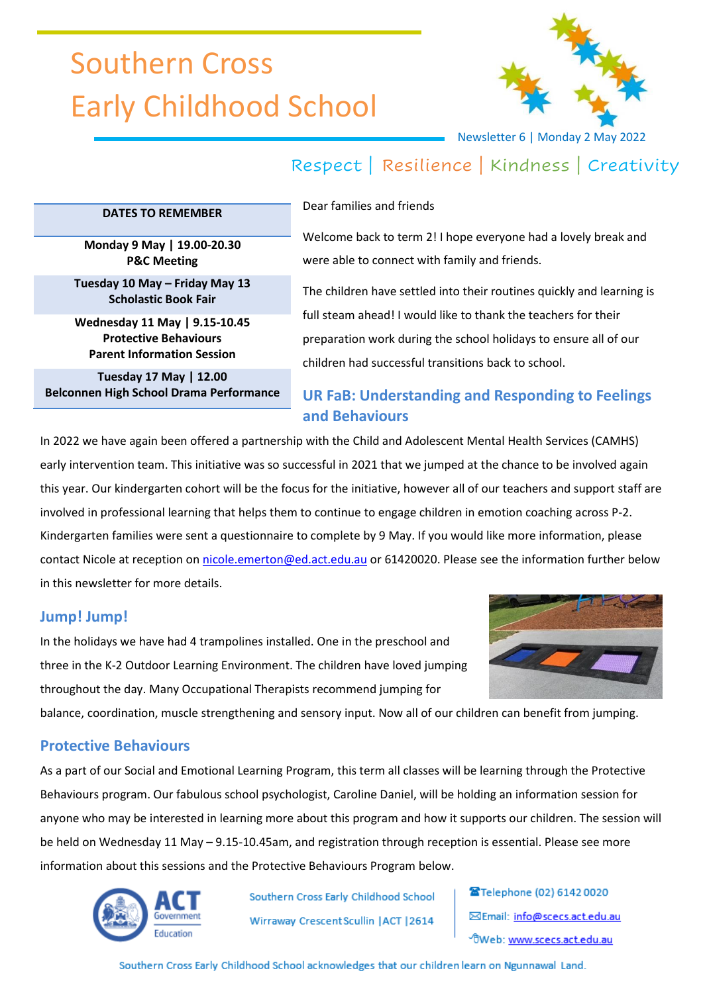# Southern Cross Early Childhood School



Newsletter 6 | Monday 2 May 2022

## Respect | Resilience | Kindness | Creativity

#### **DATES TO REMEMBER**

**Monday 9 May | 19.00-20.30 P&C Meeting**

**Tuesday 10 May – Friday May 13 Scholastic Book Fair**

**Wednesday 11 May | 9.15-10.45 Protective Behaviours Parent Information Session**

**Tuesday 17 May | 12.00 Belconnen High School Drama Performance**

#### Dear families and friends

Welcome back to term 2! I hope everyone had a lovely break and were able to connect with family and friends.

The children have settled into their routines quickly and learning is full steam ahead! I would like to thank the teachers for their preparation work during the school holidays to ensure all of our children had successful transitions back to school.

## **UR FaB: Understanding and Responding to Feelings and Behaviours**

In 2022 we have again been offered a partnership with the Child and Adolescent Mental Health Services (CAMHS) early intervention team. This initiative was so successful in 2021 that we jumped at the chance to be involved again this year. Our kindergarten cohort will be the focus for the initiative, however all of our teachers and support staff are involved in professional learning that helps them to continue to engage children in emotion coaching across P-2. Kindergarten families were sent a questionnaire to complete by 9 May. If you would like more information, please contact Nicole at reception o[n nicole.emerton@ed.act.edu.au](mailto:nicole.emerton@ed.act.edu.au) or 61420020. Please see the information further below in this newsletter for more details.

### **Jump! Jump!**

In the holidays we have had 4 trampolines installed. One in the preschool and three in the K-2 Outdoor Learning Environment. The children have loved jumping throughout the day. Many Occupational Therapists recommend jumping for



balance, coordination, muscle strengthening and sensory input. Now all of our children can benefit from jumping.

## **Protective Behaviours**

As a part of our Social and Emotional Learning Program, this term all classes will be learning through the Protective Behaviours program. Our fabulous school psychologist, Caroline Daniel, will be holding an information session for anyone who may be interested in learning more about this program and how it supports our children. The session will be held on Wednesday 11 May – 9.15-10.45am, and registration through reception is essential. Please see more information about this sessions and the Protective Behaviours Program below.



Southern Cross Early Childhood School Wirraway Crescent Scullin | ACT | 2614

Telephone (02) 6142 0020 ⊠Email: info@scecs.act.edu.au OWeb: www.scecs.act.edu.au

Southern Cross Early Childhood School acknowledges that our children learn on Ngunnawal Land.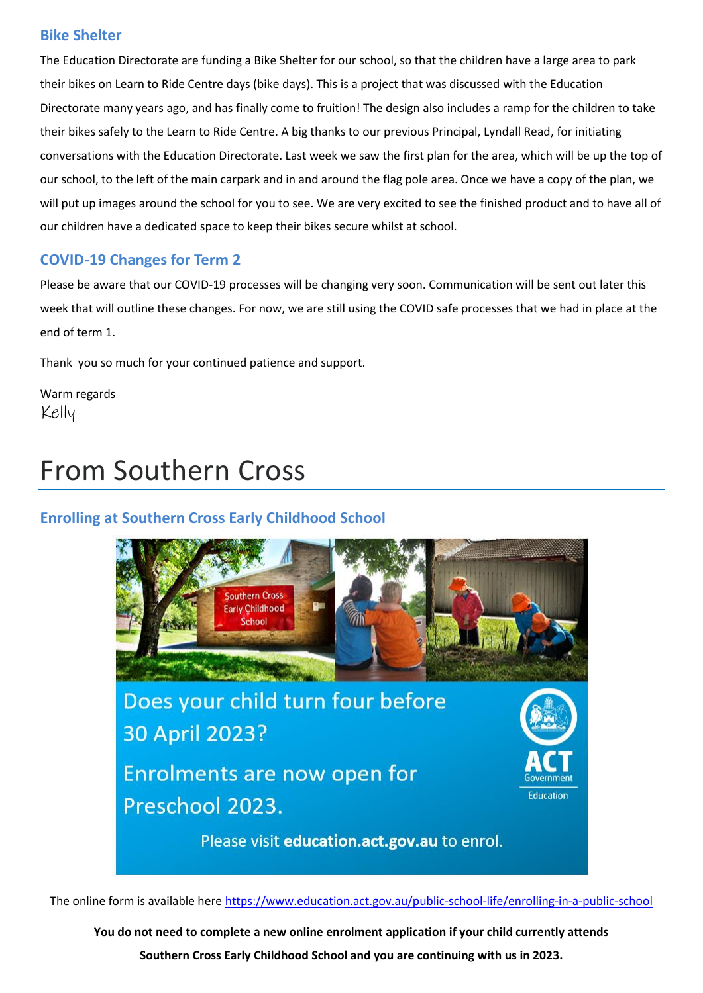## **Bike Shelter**

The Education Directorate are funding a Bike Shelter for our school, so that the children have a large area to park their bikes on Learn to Ride Centre days (bike days). This is a project that was discussed with the Education Directorate many years ago, and has finally come to fruition! The design also includes a ramp for the children to take their bikes safely to the Learn to Ride Centre. A big thanks to our previous Principal, Lyndall Read, for initiating conversations with the Education Directorate. Last week we saw the first plan for the area, which will be up the top of our school, to the left of the main carpark and in and around the flag pole area. Once we have a copy of the plan, we will put up images around the school for you to see. We are very excited to see the finished product and to have all of our children have a dedicated space to keep their bikes secure whilst at school.

## **COVID-19 Changes for Term 2**

Please be aware that our COVID-19 processes will be changing very soon. Communication will be sent out later this week that will outline these changes. For now, we are still using the COVID safe processes that we had in place at the end of term 1.

Thank you so much for your continued patience and support.

Warm regards Kelly

# From Southern Cross

## **Enrolling at Southern Cross Early Childhood School**



30 April 2023? **Enrolments are now open for** Preschool 2023.



Please visit education.act.gov.au to enrol.

The online form is available her[e https://www.education.act.gov.au/public-school-life/enrolling-in-a-public-school](https://www.education.act.gov.au/public-school-life/enrolling-in-a-public-school)

**You do not need to complete a new online enrolment application if your child currently attends** 

**Southern Cross Early Childhood School and you are continuing with us in 2023.**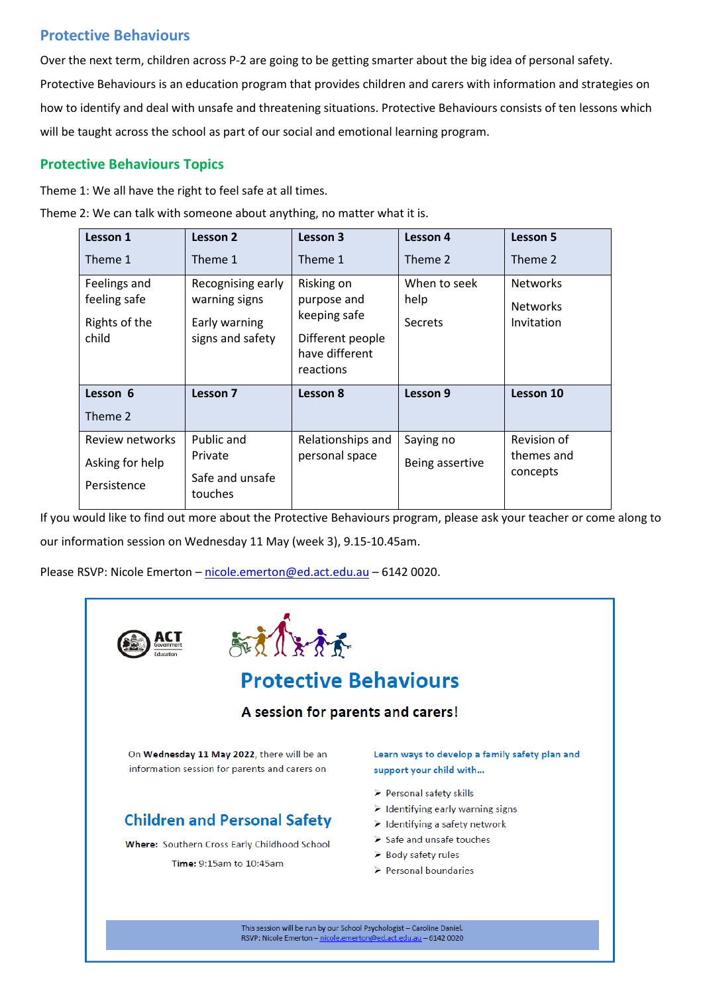## **Protective Behaviours**

Over the next term, children across P-2 are going to be getting smarter about the big idea of personal safety. Protective Behaviours is an education program that provides children and carers with information and strategies on how to identify and deal with unsafe and threatening situations. Protective Behaviours consists of ten lessons which will be taught across the school as part of our social and emotional learning program.

## **Protective Behaviours Topics**

Theme 1: We all have the right to feel safe at all times.

Theme 2: We can talk with someone about anything, no matter what it is.

| Lesson 1                     | Lesson 2                           | Lesson 3                                        | Lesson 4             | Lesson 5                      |
|------------------------------|------------------------------------|-------------------------------------------------|----------------------|-------------------------------|
| Theme 1                      | Theme 1                            | Theme 1                                         | Theme 2              | Theme 2                       |
| Feelings and<br>feeling safe | Recognising early<br>warning signs | Risking on<br>purpose and                       | When to seek<br>help | <b>Networks</b>               |
| Rights of the                | Early warning                      | keeping safe                                    | <b>Secrets</b>       | <b>Networks</b><br>Invitation |
| child                        | signs and safety                   | Different people<br>have different<br>reactions |                      |                               |
| Lesson 6                     | Lesson 7                           | Lesson 8                                        | Lesson 9             | Lesson 10                     |
| Theme 2                      |                                    |                                                 |                      |                               |
| Review networks              | Public and                         | Relationships and                               | Saying no            | Revision of                   |
| Asking for help              | Private                            | personal space                                  | Being assertive      | themes and<br>concepts        |
| Persistence                  | Safe and unsafe<br>touches         |                                                 |                      |                               |

If you would like to find out more about the Protective Behaviours program, please ask your teacher or come along to our information session on Wednesday 11 May (week 3), 9.15-10.45am.

Please RSVP: Nicole Emerton – [nicole.emerton@ed.act.edu.au](mailto:nicole.emerton@ed.act.edu.au) – 6142 0020.

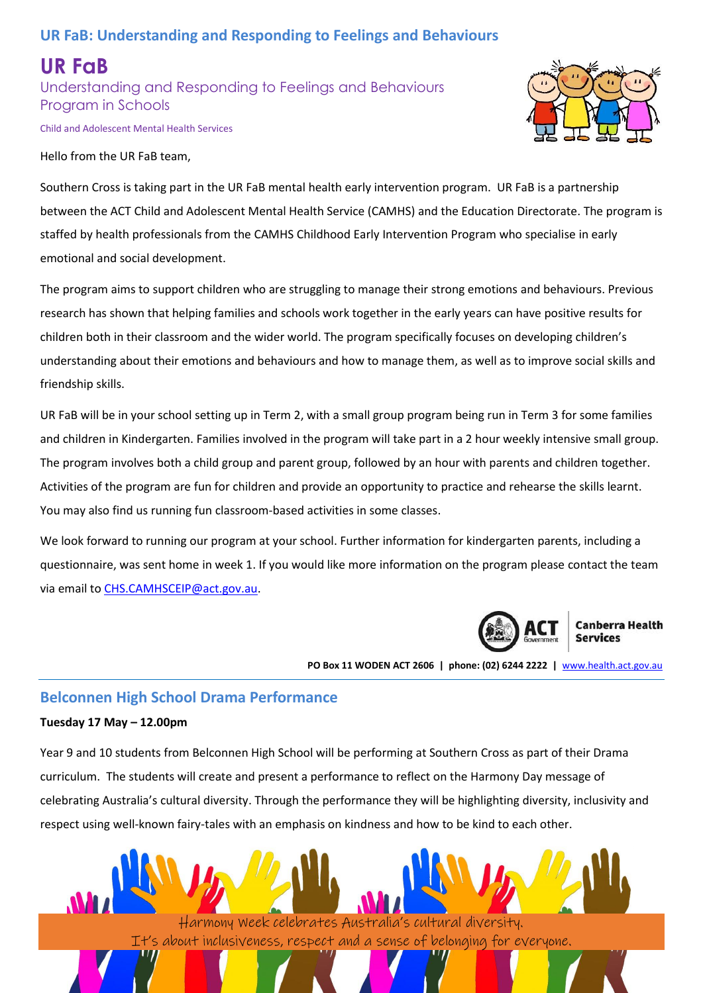## **UR FaB: Understanding and Responding to Feelings and Behaviours**

## **UR FaB**

Understanding and Responding to Feelings and Behaviours Program in Schools

Child and Adolescent Mental Health Services

#### Hello from the UR FaB team,



Southern Cross is taking part in the UR FaB mental health early intervention program. UR FaB is a partnership between the ACT Child and Adolescent Mental Health Service (CAMHS) and the Education Directorate. The program is staffed by health professionals from the CAMHS Childhood Early Intervention Program who specialise in early emotional and social development.

The program aims to support children who are struggling to manage their strong emotions and behaviours. Previous research has shown that helping families and schools work together in the early years can have positive results for children both in their classroom and the wider world. The program specifically focuses on developing children's understanding about their emotions and behaviours and how to manage them, as well as to improve social skills and friendship skills.

UR FaB will be in your school setting up in Term 2, with a small group program being run in Term 3 for some families and children in Kindergarten. Families involved in the program will take part in a 2 hour weekly intensive small group. The program involves both a child group and parent group, followed by an hour with parents and children together. Activities of the program are fun for children and provide an opportunity to practice and rehearse the skills learnt. You may also find us running fun classroom-based activities in some classes.

We look forward to running our program at your school. Further information for kindergarten parents, including a questionnaire, was sent home in week 1. If you would like more information on the program please contact the team via email to [CHS.CAMHSCEIP@act.gov.au.](mailto:CHS.CAMHSCEIP@act.gov.au)



**Canberra Health Services** 

**PO Box 11 WODEN ACT 2606 | phone: (02) 6244 2222 |** [www.health.act.gov.au](http://www.health.act.gov.au/)

## **Belconnen High School Drama Performance**

#### **Tuesday 17 May – 12.00pm**

Year 9 and 10 students from Belconnen High School will be performing at Southern Cross as part of their Drama curriculum. The students will create and present a performance to reflect on the Harmony Day message of celebrating Australia's cultural diversity. Through the performance they will be highlighting diversity, inclusivity and respect using well-known fairy-tales with an emphasis on kindness and how to be kind to each other.

> Harmony Week celebrates Australia's cultural diversity. It's about inclusiveness, respect and a sense of belonging for everyone.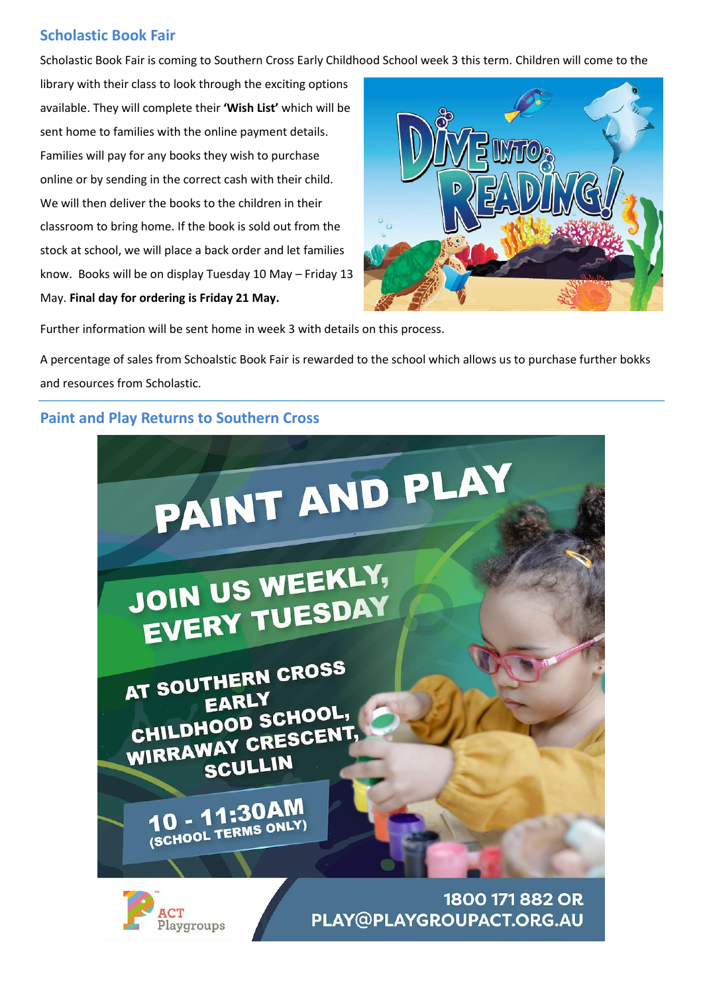## **Scholastic Book Fair**

Scholastic Book Fair is coming to Southern Cross Early Childhood School week 3 this term. Children will come to the

library with their class to look through the exciting options available. They will complete their **'Wish List'** which will be sent home to families with the online payment details. Families will pay for any books they wish to purchase online or by sending in the correct cash with their child. We will then deliver the books to the children in their classroom to bring home. If the book is sold out from the stock at school, we will place a back order and let families know. Books will be on display Tuesday 10 May – Friday 13 May. **Final day for ordering is Friday 21 May.**



Further information will be sent home in week 3 with details on this process.

A percentage of sales from Schoalstic Book Fair is rewarded to the school which allows us to purchase further bokks and resources from Scholastic.

## **Paint and Play Returns to Southern Cross**

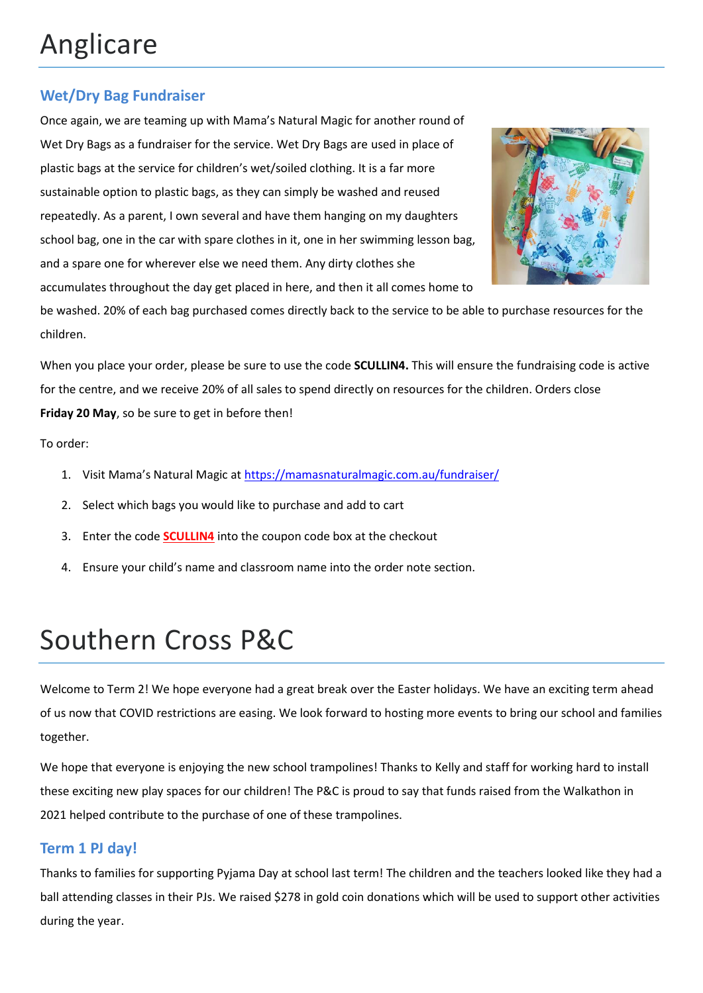## **Wet/Dry Bag Fundraiser**

Once again, we are teaming up with Mama's Natural Magic for another round of Wet Dry Bags as a fundraiser for the service. Wet Dry Bags are used in place of plastic bags at the service for children's wet/soiled clothing. It is a far more sustainable option to plastic bags, as they can simply be washed and reused repeatedly. As a parent, I own several and have them hanging on my daughters school bag, one in the car with spare clothes in it, one in her swimming lesson bag, and a spare one for wherever else we need them. Any dirty clothes she accumulates throughout the day get placed in here, and then it all comes home to



be washed. 20% of each bag purchased comes directly back to the service to be able to purchase resources for the children.

When you place your order, please be sure to use the code **SCULLIN4.** This will ensure the fundraising code is active for the centre, and we receive 20% of all sales to spend directly on resources for the children. Orders close **Friday 20 May**, so be sure to get in before then!

To order:

- 1. Visit Mama's Natural Magic at [https://mamasnaturalmagic.com.au/fundraiser/](https://aus01.safelinks.protection.outlook.com/?url=https%3A%2F%2Fmamasnaturalmagic.com.au%2Ffundraiser%2F&data=05%7C01%7C%7Cfa528f7990634428811e08da2bdb5c96%7Cf1d4a8326c2144759bf48cc7e9044a29%7C0%7C0%7C637870519158631371%7CUnknown%7CTWFpbGZsb3d8eyJWIjoiMC4wLjAwMDAiLCJQIjoiV2luMzIiLCJBTiI6Ik1haWwiLCJXVCI6Mn0%3D%7C3000%7C%7C%7C&sdata=7o0mnctEjwXihAGe5QaGnNuBYMGDa8CZFXdfT%2BpClR0%3D&reserved=0)
- 2. Select which bags you would like to purchase and add to cart
- 3. Enter the code **SCULLIN4** into the coupon code box at the checkout
- 4. Ensure your child's name and classroom name into the order note section.

# Southern Cross P&C

Welcome to Term 2! We hope everyone had a great break over the Easter holidays. We have an exciting term ahead of us now that COVID restrictions are easing. We look forward to hosting more events to bring our school and families together.

We hope that everyone is enjoying the new school trampolines! Thanks to Kelly and staff for working hard to install these exciting new play spaces for our children! The P&C is proud to say that funds raised from the Walkathon in 2021 helped contribute to the purchase of one of these trampolines.

### **Term 1 PJ day!**

Thanks to families for supporting Pyjama Day at school last term! The children and the teachers looked like they had a ball attending classes in their PJs. We raised \$278 in gold coin donations which will be used to support other activities during the year.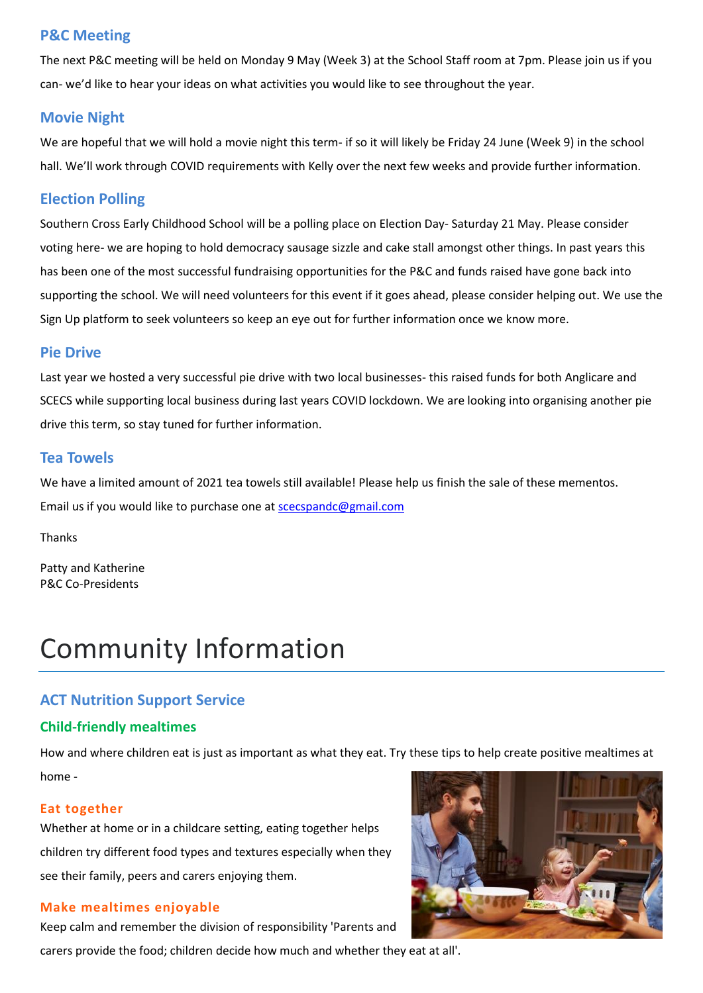## **P&C Meeting**

The next P&C meeting will be held on Monday 9 May (Week 3) at the School Staff room at 7pm. Please join us if you can- we'd like to hear your ideas on what activities you would like to see throughout the year.

### **Movie Night**

We are hopeful that we will hold a movie night this term- if so it will likely be Friday 24 June (Week 9) in the school hall. We'll work through COVID requirements with Kelly over the next few weeks and provide further information.

## **Election Polling**

Southern Cross Early Childhood School will be a polling place on Election Day- Saturday 21 May. Please consider voting here- we are hoping to hold democracy sausage sizzle and cake stall amongst other things. In past years this has been one of the most successful fundraising opportunities for the P&C and funds raised have gone back into supporting the school. We will need volunteers for this event if it goes ahead, please consider helping out. We use the Sign Up platform to seek volunteers so keep an eye out for further information once we know more.

#### **Pie Drive**

Last year we hosted a very successful pie drive with two local businesses- this raised funds for both Anglicare and SCECS while supporting local business during last years COVID lockdown. We are looking into organising another pie drive this term, so stay tuned for further information.

#### **Tea Towels**

We have a limited amount of 2021 tea towels still available! Please help us finish the sale of these mementos. Email us if you would like to purchase one at [scecspandc@gmail.com](mailto:scecspandc@gmail.com)

Thanks

Patty and Katherine P&C Co-Presidents

## Community Information

### **ACT Nutrition Support Service**

#### **Child-friendly mealtimes**

How and where children eat is just as important as what they eat. Try these tips to help create positive mealtimes at home -

#### **Eat together**

Whether at home or in a childcare setting, eating together helps children try different food types and textures especially when they see their family, peers and carers enjoying them.

#### **Make mealtimes enjoyable**

Keep calm and remember the division of responsibility 'Parents and

carers provide the food; children decide how much and whether they eat at all'.